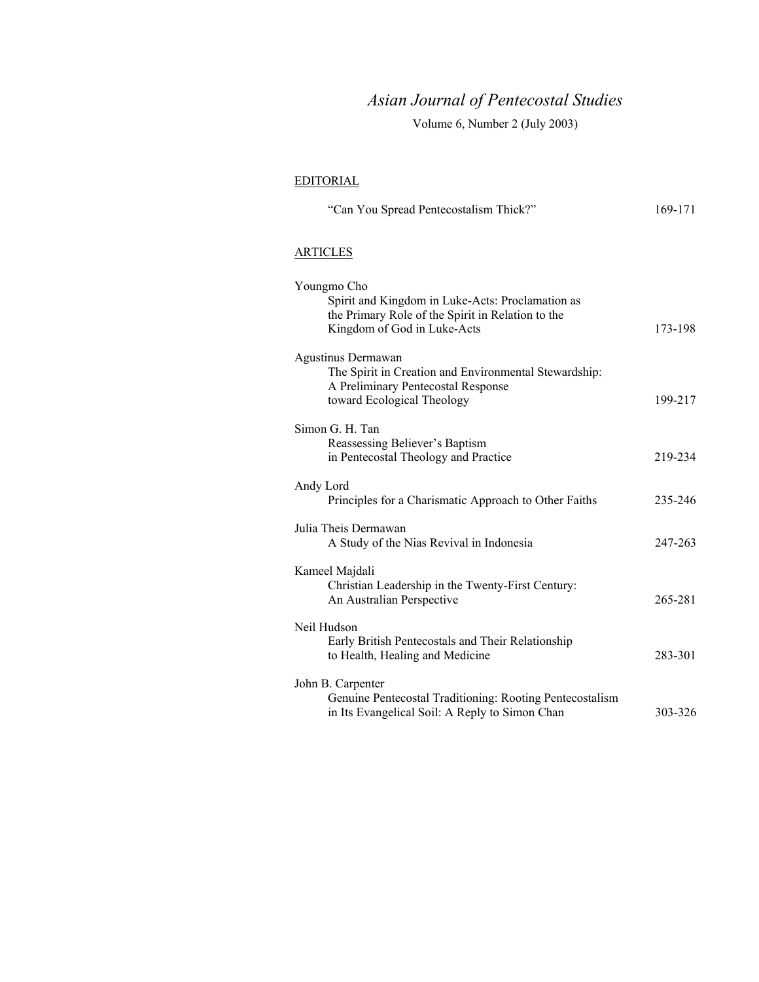# *Asian Journal of Pentecostal Studies*

Volume 6, Number 2 (July 2003)

### EDITORIAL

| "Can You Spread Pentecostalism Thick?"                                                                                                              | 169-171 |
|-----------------------------------------------------------------------------------------------------------------------------------------------------|---------|
| <b>ARTICLES</b>                                                                                                                                     |         |
| Youngmo Cho<br>Spirit and Kingdom in Luke-Acts: Proclamation as<br>the Primary Role of the Spirit in Relation to the<br>Kingdom of God in Luke-Acts | 173-198 |
| Agustinus Dermawan<br>The Spirit in Creation and Environmental Stewardship:<br>A Preliminary Pentecostal Response<br>toward Ecological Theology     | 199-217 |
| Simon G. H. Tan<br>Reassessing Believer's Baptism<br>in Pentecostal Theology and Practice                                                           | 219-234 |
| Andy Lord<br>Principles for a Charismatic Approach to Other Faiths                                                                                  | 235-246 |
| Julia Theis Dermawan<br>A Study of the Nias Revival in Indonesia                                                                                    | 247-263 |
| Kameel Majdali<br>Christian Leadership in the Twenty-First Century:<br>An Australian Perspective                                                    | 265-281 |
| Neil Hudson<br>Early British Pentecostals and Their Relationship<br>to Health, Healing and Medicine                                                 | 283-301 |
| John B. Carpenter<br>Genuine Pentecostal Traditioning: Rooting Pentecostalism<br>in Its Evangelical Soil: A Reply to Simon Chan                     | 303-326 |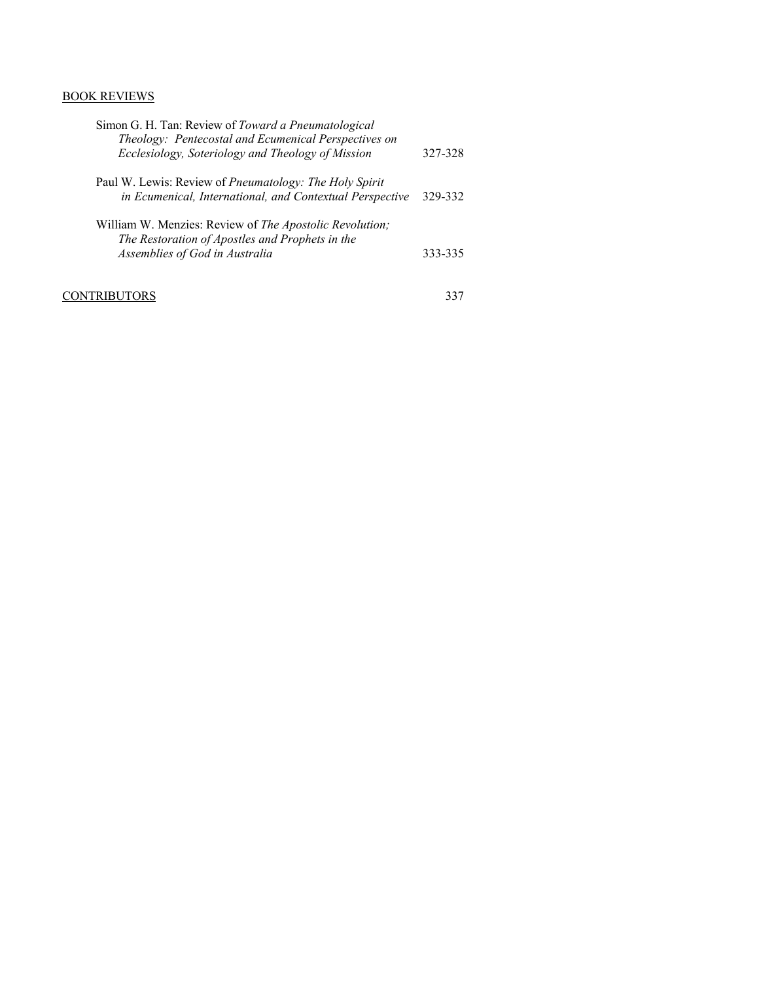## BOOK REVIEWS

| Simon G. H. Tan: Review of Toward a Pneumatological<br>Theology: Pentecostal and Ecumenical Perspectives on<br>Ecclesiology, Soteriology and Theology of Mission | 327-328 |
|------------------------------------------------------------------------------------------------------------------------------------------------------------------|---------|
| Paul W. Lewis: Review of <i>Pneumatology: The Holy Spirit</i><br>in Ecumenical, International, and Contextual Perspective                                        | 329-332 |
| William W. Menzies: Review of <i>The Apostolic Revolution</i> ;<br>The Restoration of Apostles and Prophets in the<br>Assemblies of God in Australia             | 333-335 |

CONTRIBUTORS 337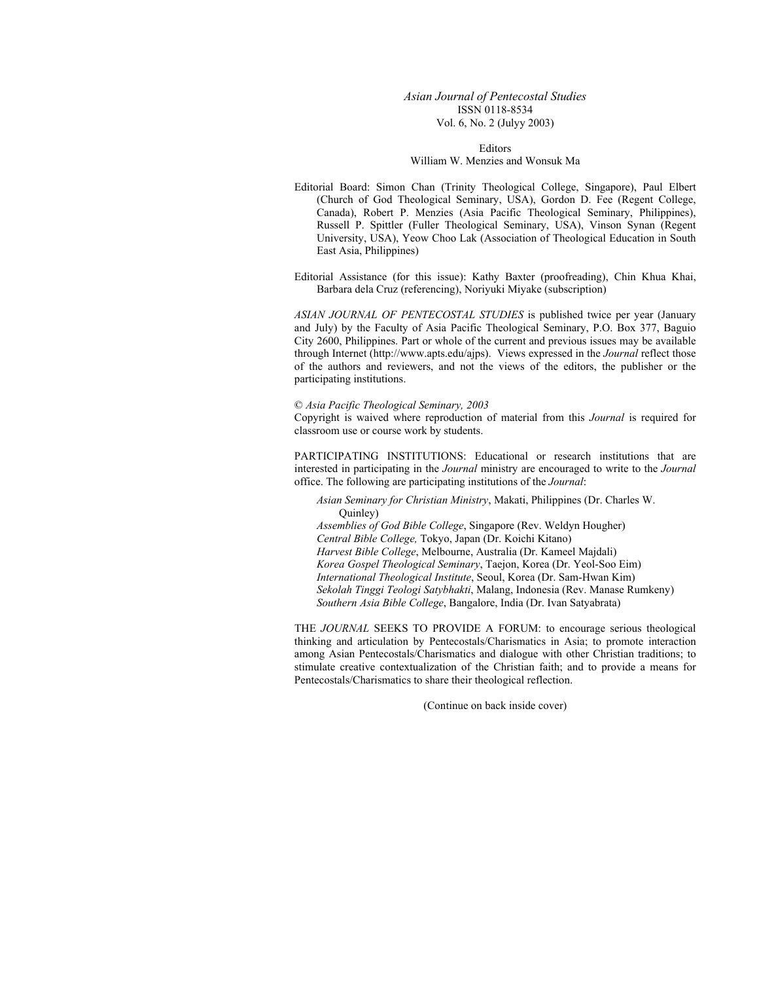*Asian Journal of Pentecostal Studies*  ISSN 0118-8534 Vol. 6, No. 2 (Julyy 2003)

Editors William W. Menzies and Wonsuk Ma

Editorial Board: Simon Chan (Trinity Theological College, Singapore), Paul Elbert (Church of God Theological Seminary, USA), Gordon D. Fee (Regent College, Canada), Robert P. Menzies (Asia Pacific Theological Seminary, Philippines), Russell P. Spittler (Fuller Theological Seminary, USA), Vinson Synan (Regent University, USA), Yeow Choo Lak (Association of Theological Education in South East Asia, Philippines)

Editorial Assistance (for this issue): Kathy Baxter (proofreading), Chin Khua Khai, Barbara dela Cruz (referencing), Noriyuki Miyake (subscription)

*ASIAN JOURNAL OF PENTECOSTAL STUDIES* is published twice per year (January and July) by the Faculty of Asia Pacific Theological Seminary, P.O. Box 377, Baguio City 2600, Philippines. Part or whole of the current and previous issues may be available through Internet (http://www.apts.edu/ajps). Views expressed in the *Journal* reflect those of the authors and reviewers, and not the views of the editors, the publisher or the participating institutions.

#### © *Asia Pacific Theological Seminary, 2003*

Copyright is waived where reproduction of material from this *Journal* is required for classroom use or course work by students.

PARTICIPATING INSTITUTIONS: Educational or research institutions that are interested in participating in the *Journal* ministry are encouraged to write to the *Journal* office. The following are participating institutions of the *Journal*:

*Asian Seminary for Christian Ministry*, Makati, Philippines (Dr. Charles W. Quinley) *Assemblies of God Bible College*, Singapore (Rev. Weldyn Hougher) *Central Bible College,* Tokyo, Japan (Dr. Koichi Kitano) *Harvest Bible College*, Melbourne, Australia (Dr. Kameel Majdali)

*Korea Gospel Theological Seminary*, Taejon, Korea (Dr. Yeol-Soo Eim)

*International Theological Institute*, Seoul, Korea (Dr. Sam-Hwan Kim)

*Sekolah Tinggi Teologi Satybhakti*, Malang, Indonesia (Rev. Manase Rumkeny)

*Southern Asia Bible College*, Bangalore, India (Dr. Ivan Satyabrata)

THE *JOURNAL* SEEKS TO PROVIDE A FORUM: to encourage serious theological thinking and articulation by Pentecostals/Charismatics in Asia; to promote interaction among Asian Pentecostals/Charismatics and dialogue with other Christian traditions; to stimulate creative contextualization of the Christian faith; and to provide a means for Pentecostals/Charismatics to share their theological reflection.

(Continue on back inside cover)